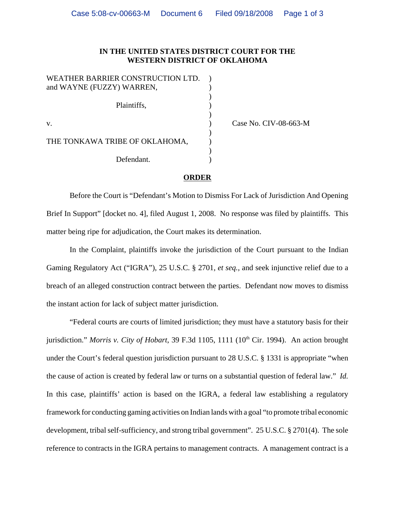## **IN THE UNITED STATES DISTRICT COURT FOR THE WESTERN DISTRICT OF OKLAHOMA**

) Case No. CIV-08-663-M

## **ORDER**

Before the Court is "Defendant's Motion to Dismiss For Lack of Jurisdiction And Opening Brief In Support" [docket no. 4], filed August 1, 2008. No response was filed by plaintiffs. This matter being ripe for adjudication, the Court makes its determination.

In the Complaint, plaintiffs invoke the jurisdiction of the Court pursuant to the Indian Gaming Regulatory Act ("IGRA"), 25 U.S.C. § 2701, *et seq.*, and seek injunctive relief due to a breach of an alleged construction contract between the parties. Defendant now moves to dismiss the instant action for lack of subject matter jurisdiction.

"Federal courts are courts of limited jurisdiction; they must have a statutory basis for their jurisdiction." *Morris v. City of Hobart*, 39 F.3d 1105, 1111 (10<sup>th</sup> Cir. 1994). An action brought under the Court's federal question jurisdiction pursuant to 28 U.S.C. § 1331 is appropriate "when the cause of action is created by federal law or turns on a substantial question of federal law." *Id.* In this case, plaintiffs' action is based on the IGRA, a federal law establishing a regulatory framework for conducting gaming activities on Indian lands with a goal "to promote tribal economic development, tribal self-sufficiency, and strong tribal government". 25 U.S.C. § 2701(4). The sole reference to contracts in the IGRA pertains to management contracts. A management contract is a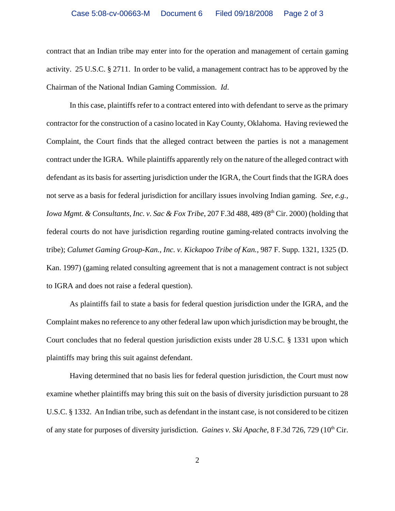contract that an Indian tribe may enter into for the operation and management of certain gaming activity. 25 U.S.C. § 2711. In order to be valid, a management contract has to be approved by the Chairman of the National Indian Gaming Commission. *Id*.

In this case, plaintiffs refer to a contract entered into with defendant to serve as the primary contractor for the construction of a casino located in Kay County, Oklahoma. Having reviewed the Complaint, the Court finds that the alleged contract between the parties is not a management contract under the IGRA. While plaintiffs apparently rely on the nature of the alleged contract with defendant as its basis for asserting jurisdiction under the IGRA, the Court finds that the IGRA does not serve as a basis for federal jurisdiction for ancillary issues involving Indian gaming. *See, e.g., Iowa Mgmt. & Consultants, Inc. v. Sac & Fox Tribe, 207 F.3d 488, 489 (8<sup>th</sup> Cir. 2000) (holding that* federal courts do not have jurisdiction regarding routine gaming-related contracts involving the tribe); *Calumet Gaming Group-Kan., Inc. v. Kickapoo Tribe of Kan.,* 987 F. Supp. 1321, 1325 (D. Kan. 1997) (gaming related consulting agreement that is not a management contract is not subject to IGRA and does not raise a federal question).

As plaintiffs fail to state a basis for federal question jurisdiction under the IGRA, and the Complaint makes no reference to any other federal law upon which jurisdiction may be brought, the Court concludes that no federal question jurisdiction exists under 28 U.S.C. § 1331 upon which plaintiffs may bring this suit against defendant.

Having determined that no basis lies for federal question jurisdiction, the Court must now examine whether plaintiffs may bring this suit on the basis of diversity jurisdiction pursuant to 28 U.S.C. § 1332. An Indian tribe, such as defendant in the instant case, is not considered to be citizen of any state for purposes of diversity jurisdiction. *Gaines v. Ski Apache*, 8 F.3d 726, 729 (10<sup>th</sup> Cir.